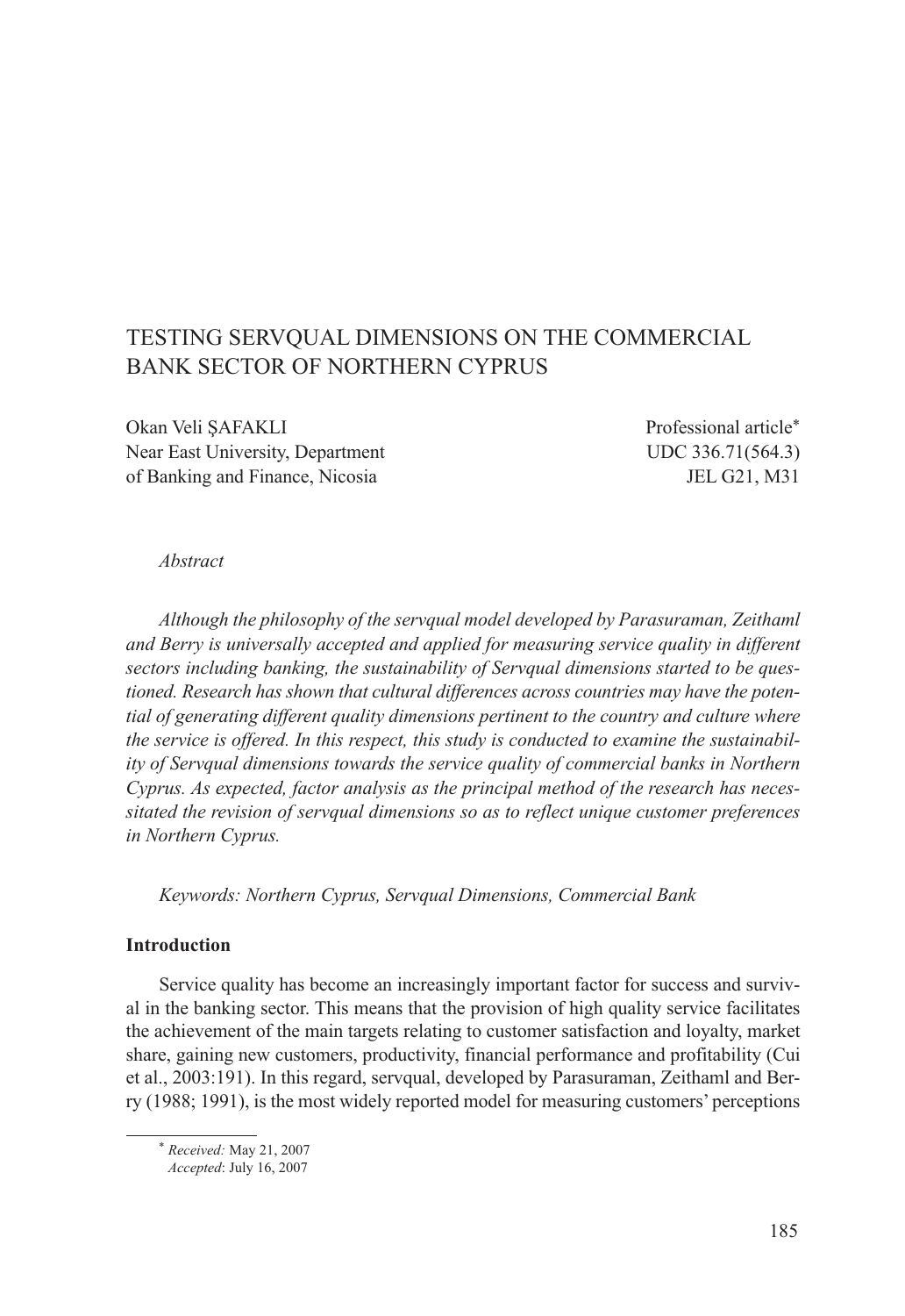# TESTING SERVQUAL DIMENSIONS ON THE COMMERCIAL BANK SECTOR OF NORTHERN CYPRUS

Okan Veli ŞAFAKLI Professional article\* Near East University, Department UDC 336.71(564.3) of Banking and Finance, Nicosia JEL G21, M31

#### *Abstract*

*Although the philosophy of the servqual model developed by Parasuraman, Zeithaml and Berry is universally accepted and applied for measuring service quality in different sectors including banking, the sustainability of Servqual dimensions started to be questioned. Research has shown that cultural differences across countries may have the potential of generating different quality dimensions pertinent to the country and culture where the service is offered. In this respect, this study is conducted to examine the sustainability of Servqual dimensions towards the service quality of commercial banks in Northern Cyprus. As expected, factor analysis as the principal method of the research has necessitated the revision of servqual dimensions so as to reflect unique customer preferences in Northern Cyprus.*

*Keywords: Northern Cyprus, Servqual Dimensions, Commercial Bank*

#### **Introduction**

Service quality has become an increasingly important factor for success and survival in the banking sector. This means that the provision of high quality service facilitates the achievement of the main targets relating to customer satisfaction and loyalty, market share, gaining new customers, productivity, financial performance and profitability (Cui et al., 2003:191). In this regard, servqual, developed by Parasuraman, Zeithaml and Berry (1988; 1991), is the most widely reported model for measuring customers' perceptions

<sup>\*</sup> *Received:* May 21, 2007

*Accepted*: July 16, 2007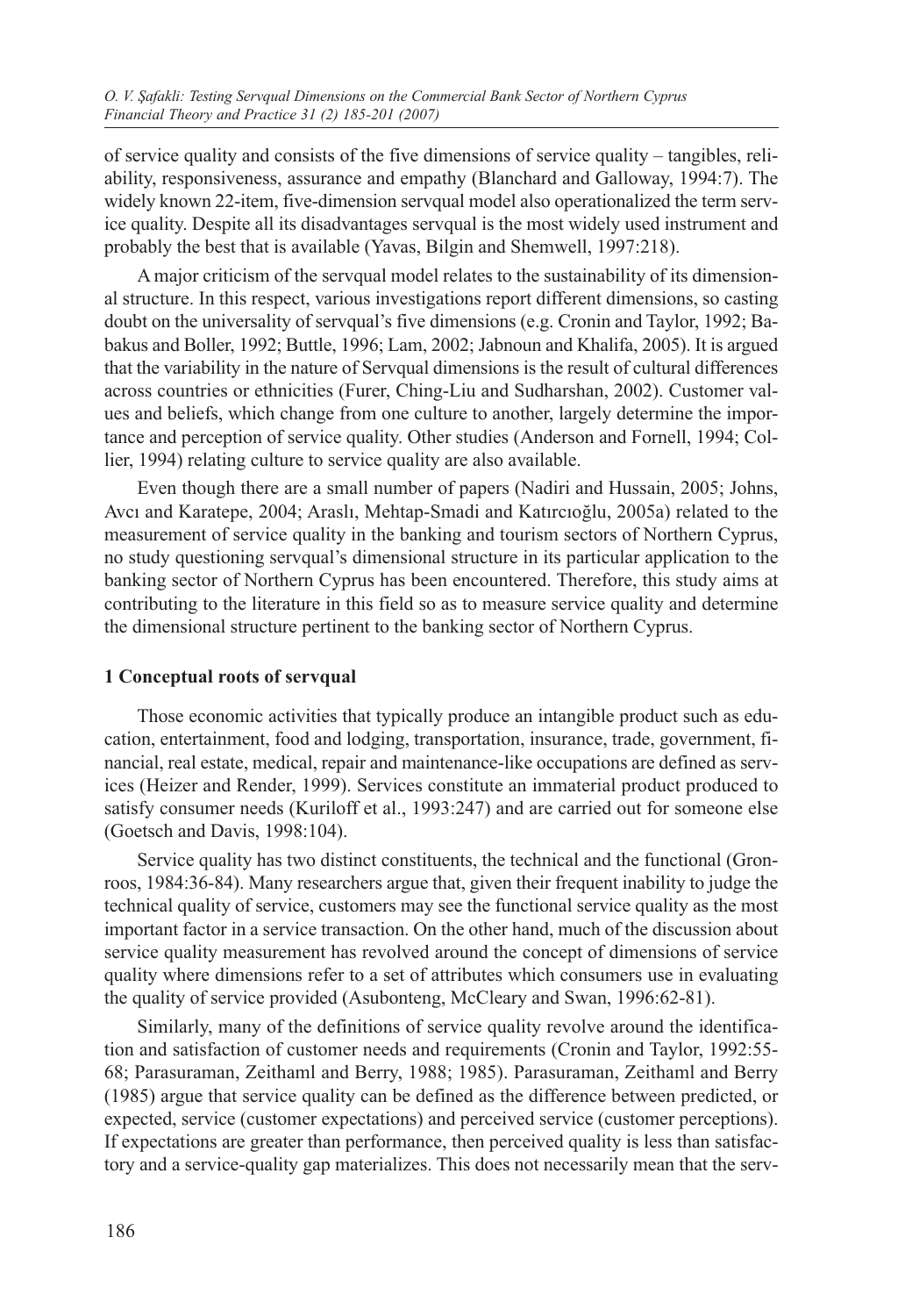of service quality and consists of the five dimensions of service quality – tangibles, reliability, responsiveness, assurance and empathy (Blanchard and Galloway, 1994:7). The widely known 22-item, five-dimension servqual model also operationalized the term service quality. Despite all its disadvantages servqual is the most widely used instrument and probably the best that is available (Yavas, Bilgin and Shemwell, 1997:218).

A major criticism of the servqual model relates to the sustainability of its dimensional structure. In this respect, various investigations report different dimensions, so casting doubt on the universality of servqual's five dimensions (e.g. Cronin and Taylor, 1992; Babakus and Boller, 1992; Buttle, 1996; Lam, 2002; Jabnoun and Khalifa, 2005). It is argued that the variability in the nature of Servqual dimensions is the result of cultural differences across countries or ethnicities (Furer, Ching-Liu and Sudharshan, 2002). Customer values and beliefs, which change from one culture to another, largely determine the importance and perception of service quality. Other studies (Anderson and Fornell, 1994; Collier, 1994) relating culture to service quality are also available.

Even though there are a small number of papers (Nadiri and Hussain, 2005; Johns, Avcı and Karatepe, 2004; Araslı, Mehtap-Smadi and Katırcıoğlu, 2005a) related to the measurement of service quality in the banking and tourism sectors of Northern Cyprus, no study questioning servqual's dimensional structure in its particular application to the banking sector of Northern Cyprus has been encountered. Therefore, this study aims at contributing to the literature in this field so as to measure service quality and determine the dimensional structure pertinent to the banking sector of Northern Cyprus.

## **1 Conceptual roots of servqual**

Those economic activities that typically produce an intangible product such as education, entertainment, food and lodging, transportation, insurance, trade, government, financial, real estate, medical, repair and maintenance-like occupations are defined as services (Heizer and Render, 1999). Services constitute an immaterial product produced to satisfy consumer needs (Kuriloff et al., 1993:247) and are carried out for someone else (Goetsch and Davis, 1998:104).

Service quality has two distinct constituents, the technical and the functional (Gronroos, 1984:36-84). Many researchers argue that, given their frequent inability to judge the technical quality of service, customers may see the functional service quality as the most important factor in a service transaction. On the other hand, much of the discussion about service quality measurement has revolved around the concept of dimensions of service quality where dimensions refer to a set of attributes which consumers use in evaluating the quality of service provided (Asubonteng, McCleary and Swan, 1996:62-81).

Similarly, many of the definitions of service quality revolve around the identification and satisfaction of customer needs and requirements (Cronin and Taylor, 1992:55- 68; Parasuraman, Zeithaml and Berry, 1988; 1985). Parasuraman, Zeithaml and Berry (1985) argue that service quality can be defined as the difference between predicted, or expected, service (customer expectations) and perceived service (customer perceptions). If expectations are greater than performance, then perceived quality is less than satisfactory and a service-quality gap materializes. This does not necessarily mean that the serv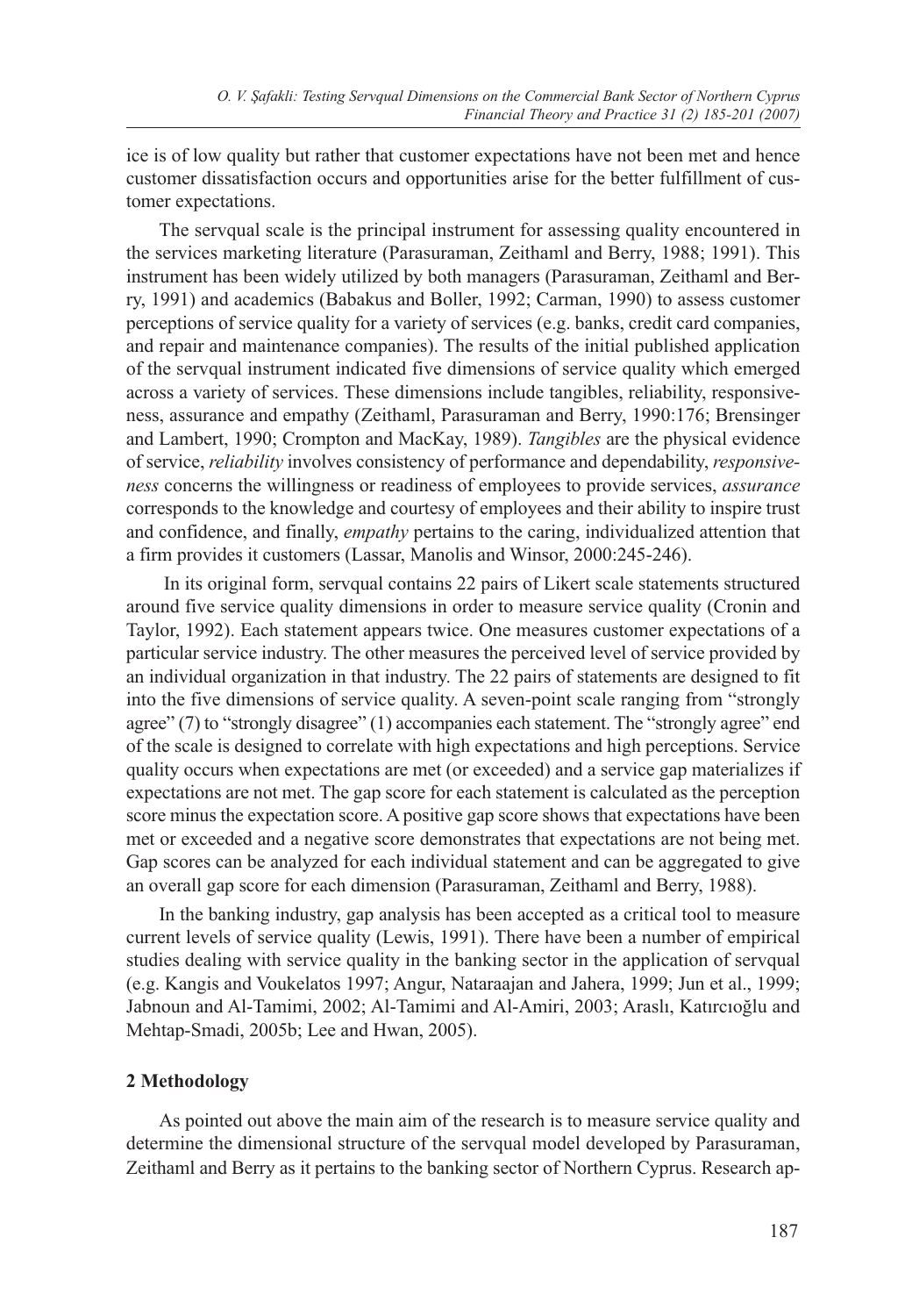ice is of low quality but rather that customer expectations have not been met and hence customer dissatisfaction occurs and opportunities arise for the better fulfillment of customer expectations.

The servqual scale is the principal instrument for assessing quality encountered in the services marketing literature (Parasuraman, Zeithaml and Berry, 1988; 1991). This instrument has been widely utilized by both managers (Parasuraman, Zeithaml and Berry, 1991) and academics (Babakus and Boller, 1992; Carman, 1990) to assess customer perceptions of service quality for a variety of services (e.g. banks, credit card companies, and repair and maintenance companies). The results of the initial published application of the servqual instrument indicated five dimensions of service quality which emerged across a variety of services. These dimensions include tangibles, reliability, responsiveness, assurance and empathy (Zeithaml, Parasuraman and Berry, 1990:176; Brensinger and Lambert, 1990; Crompton and MacKay, 1989). *Tangibles* are the physical evidence of service, *reliability* involves consistency of performance and dependability, *responsiveness* concerns the willingness or readiness of employees to provide services, *assurance*  corresponds to the knowledge and courtesy of employees and their ability to inspire trust and confidence, and finally, *empathy* pertains to the caring, individualized attention that a firm provides it customers (Lassar, Manolis and Winsor, 2000:245-246).

 In its original form, servqual contains 22 pairs of Likert scale statements structured around five service quality dimensions in order to measure service quality (Cronin and Taylor, 1992). Each statement appears twice. One measures customer expectations of a particular service industry. The other measures the perceived level of service provided by an individual organization in that industry. The 22 pairs of statements are designed to fit into the five dimensions of service quality. A seven-point scale ranging from "strongly agree" (7) to "strongly disagree" (1) accompanies each statement. The "strongly agree" end of the scale is designed to correlate with high expectations and high perceptions. Service quality occurs when expectations are met (or exceeded) and a service gap materializes if expectations are not met. The gap score for each statement is calculated as the perception score minus the expectation score. A positive gap score shows that expectations have been met or exceeded and a negative score demonstrates that expectations are not being met. Gap scores can be analyzed for each individual statement and can be aggregated to give an overall gap score for each dimension (Parasuraman, Zeithaml and Berry, 1988).

In the banking industry, gap analysis has been accepted as a critical tool to measure current levels of service quality (Lewis, 1991). There have been a number of empirical studies dealing with service quality in the banking sector in the application of servqual (e.g. Kangis and Voukelatos 1997; Angur, Nataraajan and Jahera, 1999; Jun et al., 1999; Jabnoun and Al-Tamimi, 2002; Al-Tamimi and Al-Amiri, 2003; Araslı, Katırcıoğlu and Mehtap-Smadi, 2005b; Lee and Hwan, 2005).

#### **2 Methodology**

As pointed out above the main aim of the research is to measure service quality and determine the dimensional structure of the servqual model developed by Parasuraman, Zeithaml and Berry as it pertains to the banking sector of Northern Cyprus. Research ap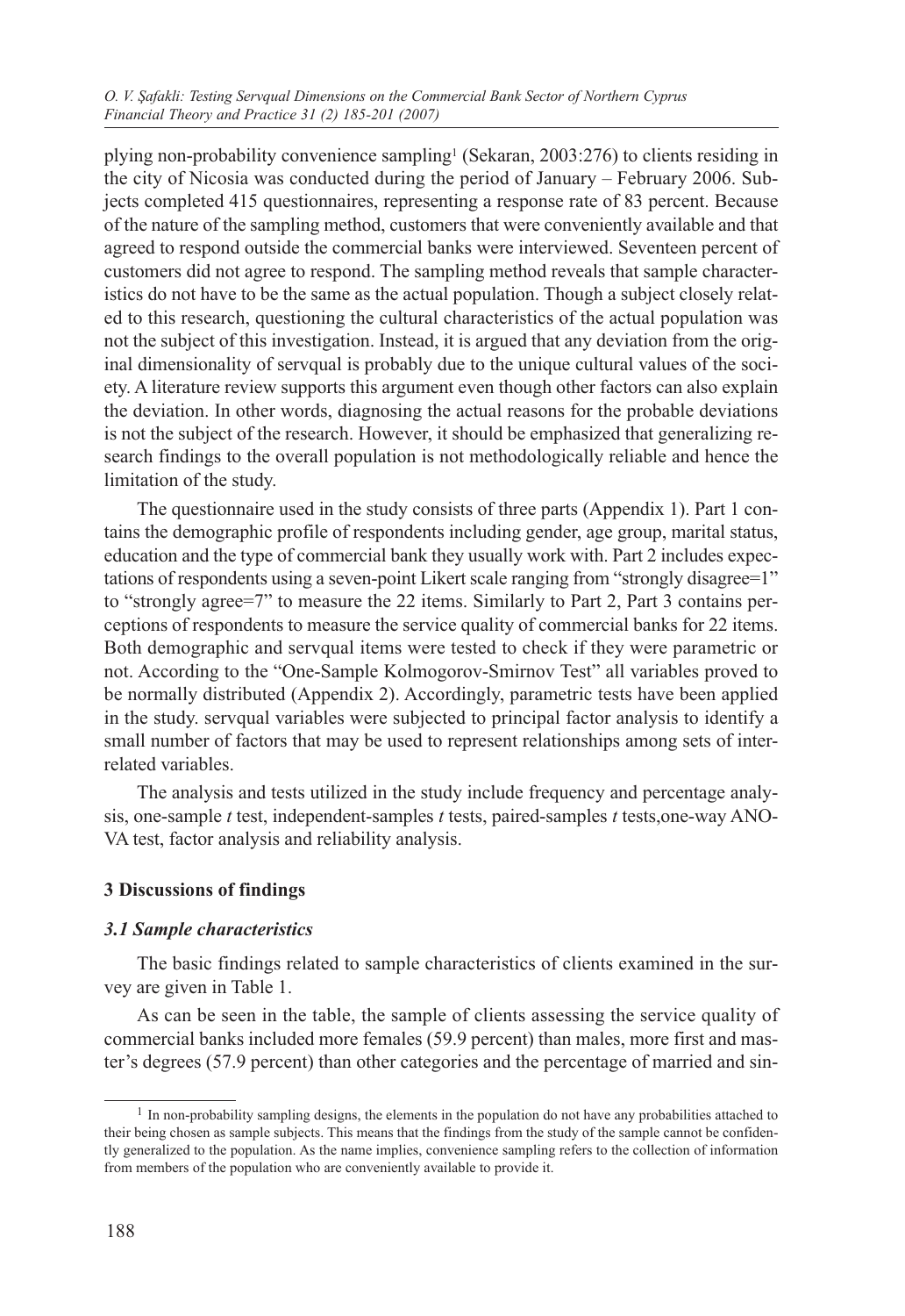plying non-probability convenience sampling1 (Sekaran, 2003:276) to clients residing in the city of Nicosia was conducted during the period of January – February 2006. Subjects completed 415 questionnaires, representing a response rate of 83 percent. Because of the nature of the sampling method, customers that were conveniently available and that agreed to respond outside the commercial banks were interviewed. Seventeen percent of customers did not agree to respond. The sampling method reveals that sample characteristics do not have to be the same as the actual population. Though a subject closely related to this research, questioning the cultural characteristics of the actual population was not the subject of this investigation. Instead, it is argued that any deviation from the original dimensionality of servqual is probably due to the unique cultural values of the society. A literature review supports this argument even though other factors can also explain the deviation. In other words, diagnosing the actual reasons for the probable deviations is not the subject of the research. However, it should be emphasized that generalizing research findings to the overall population is not methodologically reliable and hence the limitation of the study.

The questionnaire used in the study consists of three parts (Appendix 1). Part 1 contains the demographic profile of respondents including gender, age group, marital status, education and the type of commercial bank they usually work with. Part 2 includes expectations of respondents using a seven-point Likert scale ranging from "strongly disagree=1" to "strongly agree=7" to measure the 22 items. Similarly to Part 2, Part 3 contains perceptions of respondents to measure the service quality of commercial banks for 22 items. Both demographic and servqual items were tested to check if they were parametric or not. According to the "One-Sample Kolmogorov-Smirnov Test" all variables proved to be normally distributed (Appendix 2). Accordingly, parametric tests have been applied in the study. servqual variables were subjected to principal factor analysis to identify a small number of factors that may be used to represent relationships among sets of interrelated variables.

The analysis and tests utilized in the study include frequency and percentage analysis, one-sample *t* test, independent-samples *t* tests, paired-samples *t* tests,one-way ANO-VA test, factor analysis and reliability analysis.

## **3 Discussions of findings**

#### *3.1 Sample characteristics*

The basic findings related to sample characteristics of clients examined in the survey are given in Table 1.

As can be seen in the table, the sample of clients assessing the service quality of commercial banks included more females (59.9 percent) than males, more first and master's degrees (57.9 percent) than other categories and the percentage of married and sin-

<sup>&</sup>lt;sup>1</sup> In non-probability sampling designs, the elements in the population do not have any probabilities attached to their being chosen as sample subjects. This means that the findings from the study of the sample cannot be confidently generalized to the population. As the name implies, convenience sampling refers to the collection of information from members of the population who are conveniently available to provide it.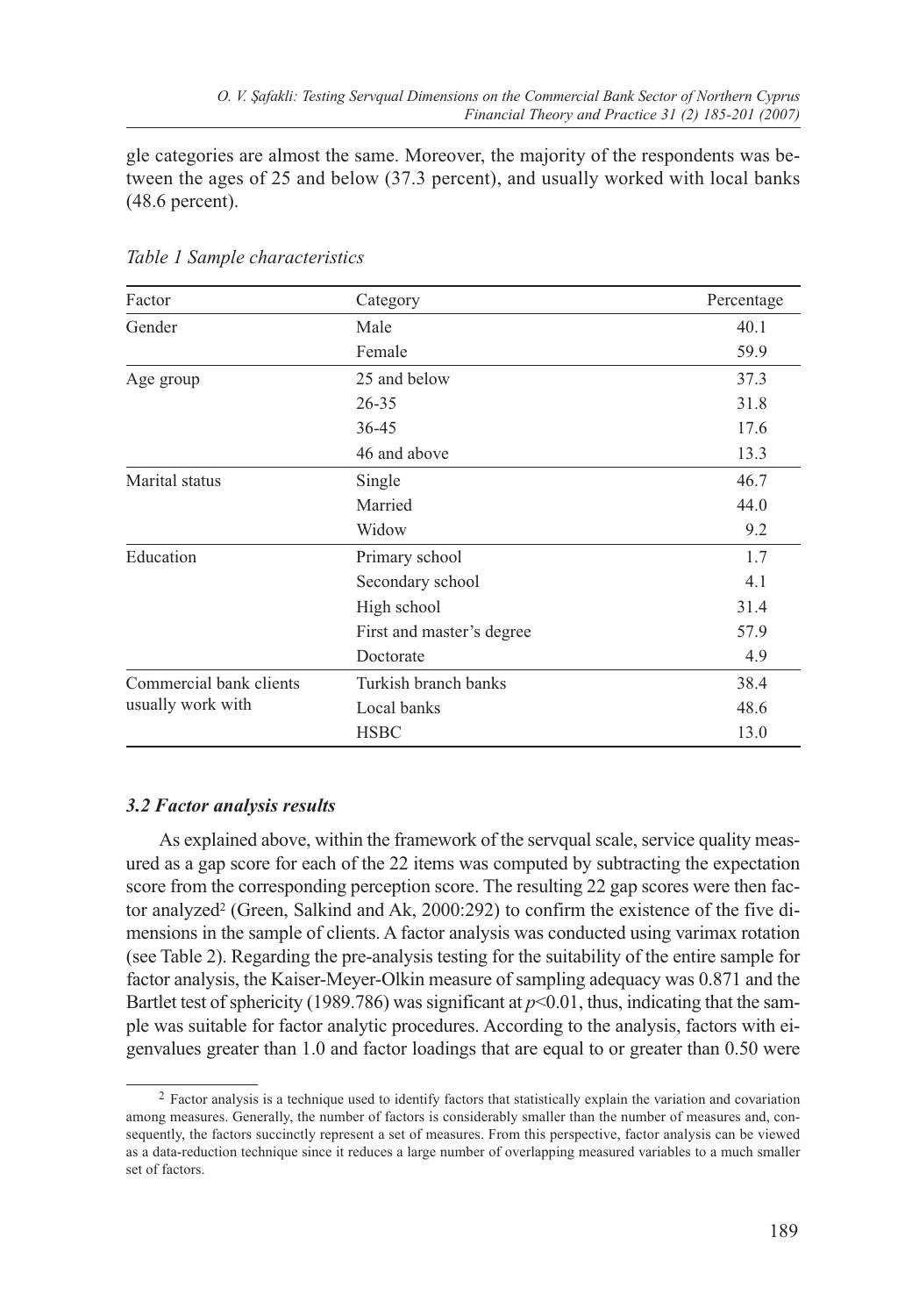gle categories are almost the same. Moreover, the majority of the respondents was between the ages of 25 and below (37.3 percent), and usually worked with local banks (48.6 percent).

| Factor                  | Category                  | Percentage |
|-------------------------|---------------------------|------------|
| Gender                  | Male                      | 40.1       |
|                         | Female                    | 59.9       |
| Age group               | 25 and below              | 37.3       |
|                         | $26 - 35$                 | 31.8       |
|                         | $36 - 45$                 | 17.6       |
|                         | 46 and above              | 13.3       |
| Marital status          | Single                    | 46.7       |
|                         | Married                   | 44.0       |
|                         | Widow                     | 9.2        |
| Education               | Primary school            | 1.7        |
|                         | Secondary school          | 4.1        |
|                         | High school               | 31.4       |
|                         | First and master's degree | 57.9       |
|                         | Doctorate                 | 4.9        |
| Commercial bank clients | Turkish branch banks      | 38.4       |
| usually work with       | Local banks               | 48.6       |
|                         | <b>HSBC</b>               | 13.0       |

*Table 1 Sample characteristics*

## *3.2 Factor analysis results*

As explained above, within the framework of the servqual scale, service quality measured as a gap score for each of the 22 items was computed by subtracting the expectation score from the corresponding perception score. The resulting 22 gap scores were then factor analyzed<sup>2</sup> (Green, Salkind and Ak, 2000:292) to confirm the existence of the five dimensions in the sample of clients. A factor analysis was conducted using varimax rotation (see Table 2). Regarding the pre-analysis testing for the suitability of the entire sample for factor analysis, the Kaiser-Meyer-Olkin measure of sampling adequacy was 0.871 and the Bartlet test of sphericity (1989.786) was significant at *p*<0.01, thus, indicating that the sample was suitable for factor analytic procedures. According to the analysis, factors with eigenvalues greater than 1.0 and factor loadings that are equal to or greater than 0.50 were

<sup>&</sup>lt;sup>2</sup> Factor analysis is a technique used to identify factors that statistically explain the variation and covariation among measures. Generally, the number of factors is considerably smaller than the number of measures and, consequently, the factors succinctly represent a set of measures. From this perspective, factor analysis can be viewed as a data-reduction technique since it reduces a large number of overlapping measured variables to a much smaller set of factors.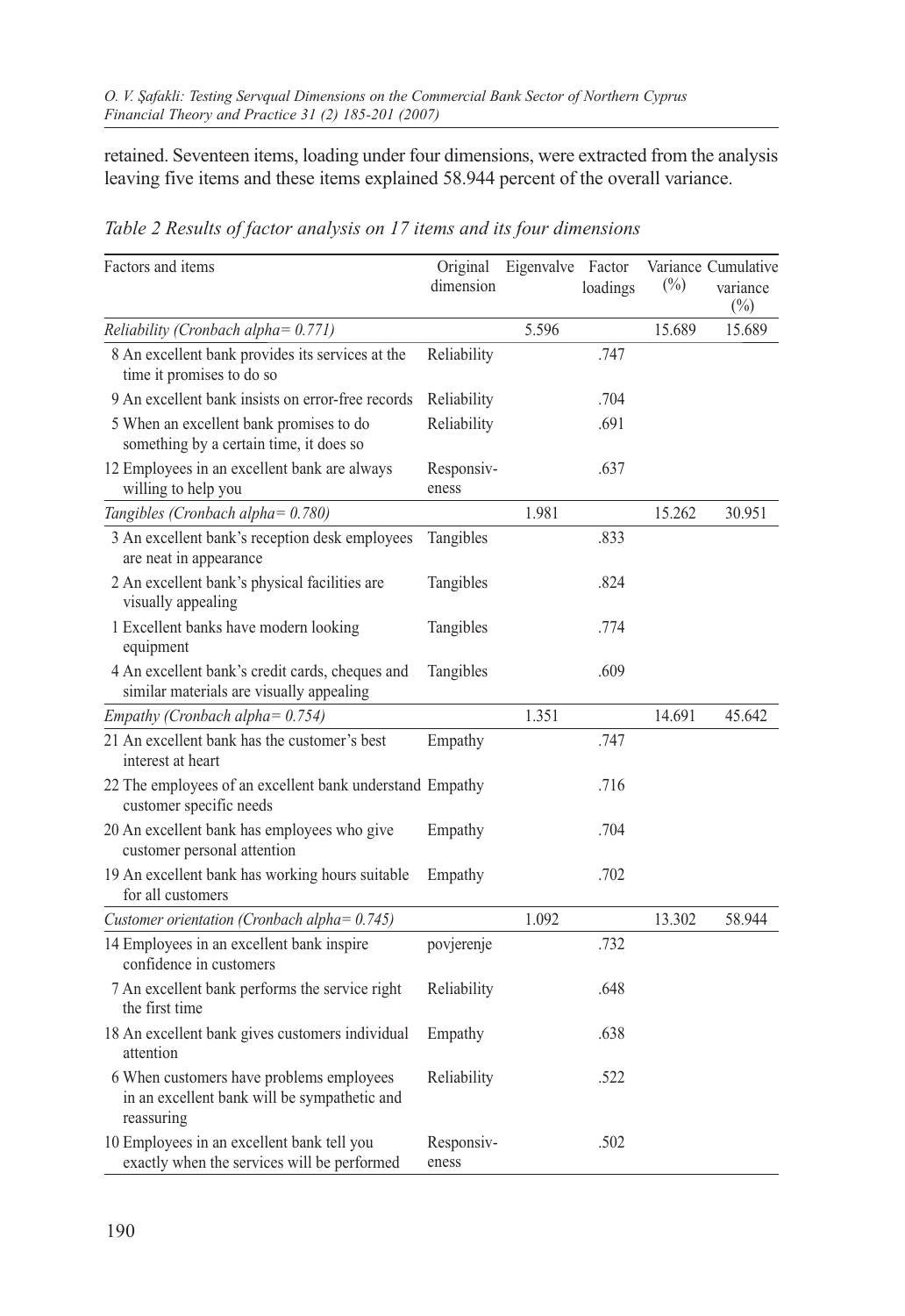retained. Seventeen items, loading under four dimensions, were extracted from the analysis leaving five items and these items explained 58.944 percent of the overall variance.

| Factors and items                                                                                      | Original<br>dimension | Eigenvalve Factor | loadings | $(\%)$ | Variance Cumulative<br>variance<br>$(\%)$ |
|--------------------------------------------------------------------------------------------------------|-----------------------|-------------------|----------|--------|-------------------------------------------|
| Reliability (Cronbach alpha= 0.771)                                                                    |                       | 5.596             |          | 15.689 | 15.689                                    |
| 8 An excellent bank provides its services at the<br>time it promises to do so                          | Reliability           |                   | .747     |        |                                           |
| 9 An excellent bank insists on error-free records                                                      | Reliability           |                   | .704     |        |                                           |
| 5 When an excellent bank promises to do<br>something by a certain time, it does so                     | Reliability           |                   | .691     |        |                                           |
| 12 Employees in an excellent bank are always<br>willing to help you                                    | Responsiv-<br>eness   |                   | .637     |        |                                           |
| Tangibles (Cronbach alpha= 0.780)                                                                      |                       | 1.981             |          | 15.262 | 30.951                                    |
| 3 An excellent bank's reception desk employees<br>are neat in appearance                               | Tangibles             |                   | .833     |        |                                           |
| 2 An excellent bank's physical facilities are<br>visually appealing                                    | Tangibles             |                   | .824     |        |                                           |
| 1 Excellent banks have modern looking<br>equipment                                                     | Tangibles             |                   | .774     |        |                                           |
| 4 An excellent bank's credit cards, cheques and<br>similar materials are visually appealing            | Tangibles             |                   | .609     |        |                                           |
| Empathy (Cronbach alpha= 0.754)                                                                        |                       | 1.351             |          | 14.691 | 45.642                                    |
| 21 An excellent bank has the customer's best<br>interest at heart                                      | Empathy               |                   | .747     |        |                                           |
| 22 The employees of an excellent bank understand Empathy<br>customer specific needs                    |                       |                   | .716     |        |                                           |
| 20 An excellent bank has employees who give<br>customer personal attention                             | Empathy               |                   | .704     |        |                                           |
| 19 An excellent bank has working hours suitable<br>for all customers                                   | Empathy               |                   | .702     |        |                                           |
| Customer orientation (Cronbach alpha= 0.745)                                                           |                       | 1.092             |          | 13.302 | 58.944                                    |
| 14 Employees in an excellent bank inspire<br>confidence in customers                                   | povjerenje            |                   | .732     |        |                                           |
| 7 An excellent bank performs the service right<br>the first time                                       | Reliability           |                   | .648     |        |                                           |
| 18 An excellent bank gives customers individual<br>attention                                           | Empathy               |                   | .638     |        |                                           |
| 6 When customers have problems employees<br>in an excellent bank will be sympathetic and<br>reassuring | Reliability           |                   | .522     |        |                                           |
| 10 Employees in an excellent bank tell you<br>exactly when the services will be performed              | Responsiv-<br>eness   |                   | .502     |        |                                           |

*Table 2 Results of factor analysis on 17 items and its four dimensions*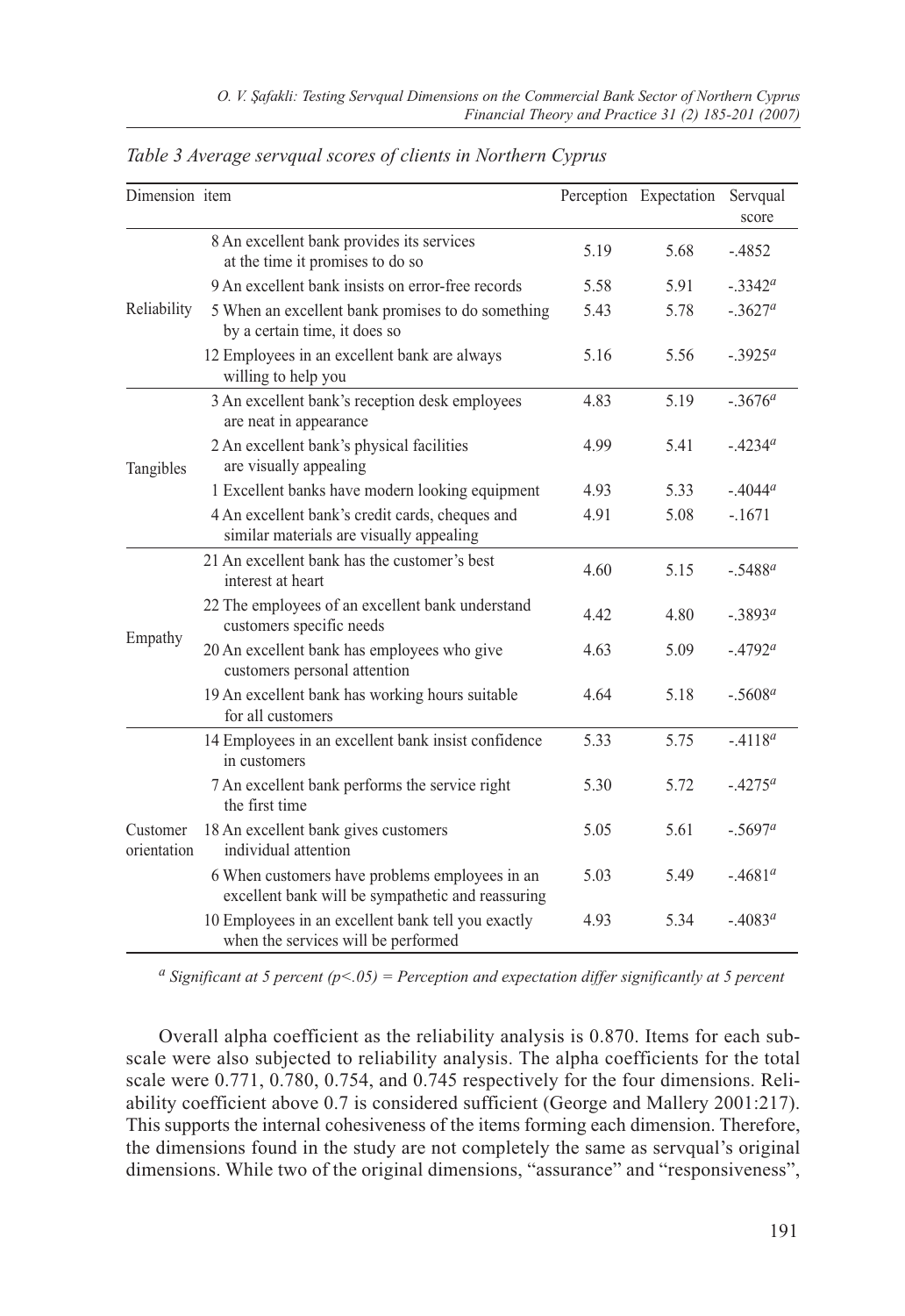| Dimension item          |                                                                                                     |      | Perception Expectation | Servqual<br>score     |
|-------------------------|-----------------------------------------------------------------------------------------------------|------|------------------------|-----------------------|
|                         | 8 An excellent bank provides its services<br>at the time it promises to do so                       | 5.19 | 5.68                   | $-4852$               |
|                         | 9 An excellent bank insists on error-free records                                                   | 5.58 | 5.91                   | $-.3342^a$            |
| Reliability             | 5 When an excellent bank promises to do something<br>by a certain time, it does so                  | 5.43 | 5.78                   | $-.3627a$             |
|                         | 12 Employees in an excellent bank are always<br>willing to help you                                 | 5.16 | 5.56                   | $-3925^a$             |
|                         | 3 An excellent bank's reception desk employees<br>are neat in appearance                            | 4.83 | 5.19                   | $-3676^a$             |
| Tangibles               | 2 An excellent bank's physical facilities<br>are visually appealing                                 | 4.99 | 5.41                   | $-4234^a$             |
|                         | 1 Excellent banks have modern looking equipment                                                     | 4.93 | 5.33                   | $-.4044a$             |
|                         | 4 An excellent bank's credit cards, cheques and<br>similar materials are visually appealing         | 4.91 | 5.08                   | $-.1671$              |
|                         | 21 An excellent bank has the customer's best<br>interest at heart                                   | 4.60 | 5.15                   | $-.5488$ <sup>a</sup> |
|                         | 22 The employees of an excellent bank understand<br>customers specific needs                        | 4.42 | 4.80                   | $-3893^a$             |
| Empathy                 | 20 An excellent bank has employees who give<br>customers personal attention                         | 4.63 | 5.09                   | $-4792^a$             |
|                         | 19 An excellent bank has working hours suitable<br>for all customers                                | 4.64 | 5.18                   | $-.5608a$             |
|                         | 14 Employees in an excellent bank insist confidence<br>in customers                                 | 5.33 | 5.75                   | $-.4118a$             |
|                         | 7 An excellent bank performs the service right<br>the first time                                    | 5.30 | 5.72                   | $-4275^a$             |
| Customer<br>orientation | 18 An excellent bank gives customers<br>individual attention                                        | 5.05 | 5.61                   | $-.5697a$             |
|                         | 6 When customers have problems employees in an<br>excellent bank will be sympathetic and reassuring | 5.03 | 5.49                   | $-4681^a$             |
|                         | 10 Employees in an excellent bank tell you exactly<br>when the services will be performed           | 4.93 | 5.34                   | $-4083^a$             |

*Table 3 Average servqual scores of clients in Northern Cyprus*

*a Significant at 5 percent (p<.05) = Perception and expectation differ significantly at 5 percent*

Overall alpha coefficient as the reliability analysis is 0.870. Items for each subscale were also subjected to reliability analysis. The alpha coefficients for the total scale were 0.771, 0.780, 0.754, and 0.745 respectively for the four dimensions. Reliability coefficient above 0.7 is considered sufficient (George and Mallery 2001:217). This supports the internal cohesiveness of the items forming each dimension. Therefore, the dimensions found in the study are not completely the same as servqual's original dimensions. While two of the original dimensions, "assurance" and "responsiveness",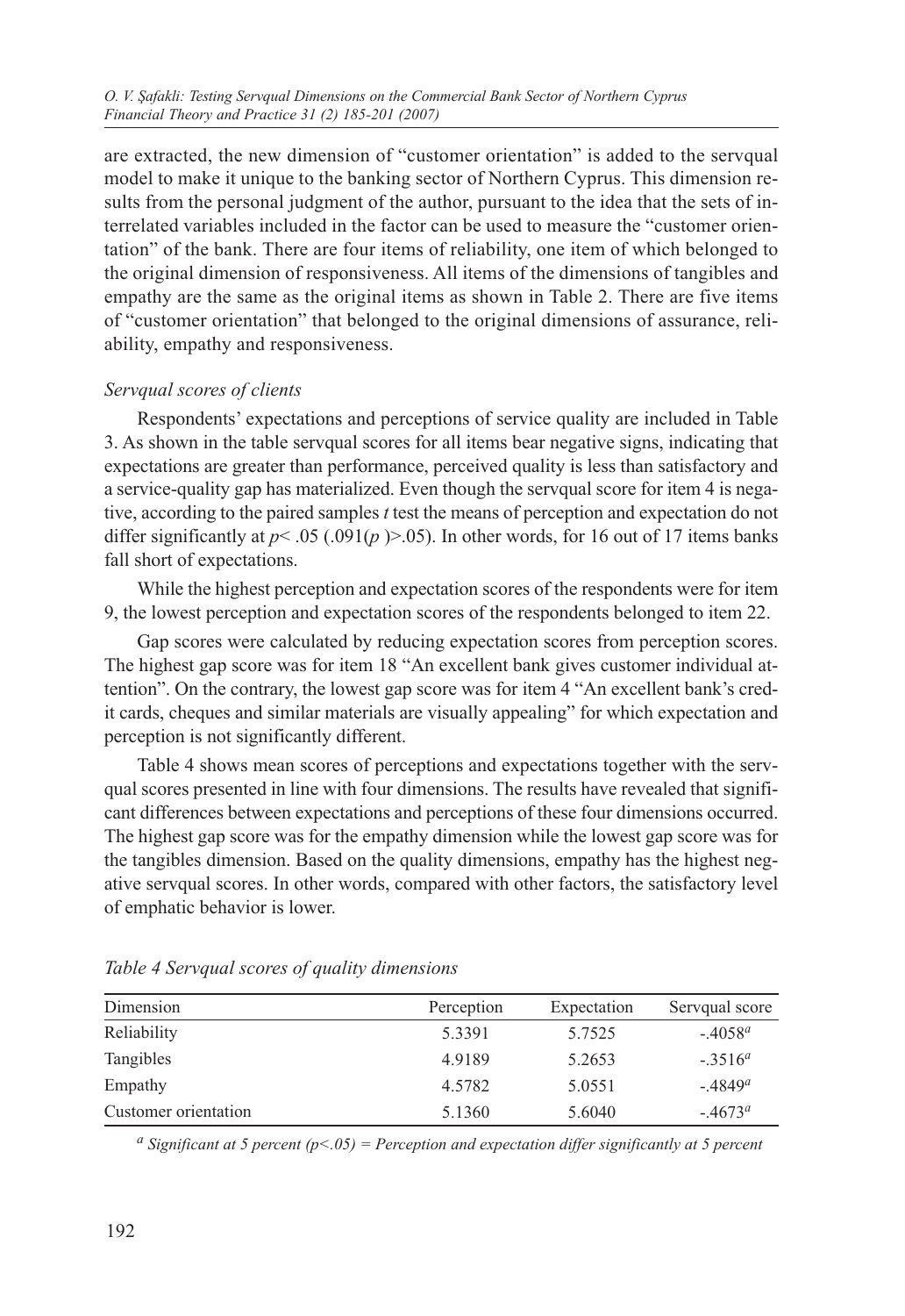are extracted, the new dimension of "customer orientation" is added to the servqual model to make it unique to the banking sector of Northern Cyprus. This dimension results from the personal judgment of the author, pursuant to the idea that the sets of interrelated variables included in the factor can be used to measure the "customer orientation" of the bank. There are four items of reliability, one item of which belonged to the original dimension of responsiveness. All items of the dimensions of tangibles and empathy are the same as the original items as shown in Table 2. There are five items of "customer orientation" that belonged to the original dimensions of assurance, reliability, empathy and responsiveness.

## *Servqual scores of clients*

Respondents' expectations and perceptions of service quality are included in Table 3. As shown in the table servqual scores for all items bear negative signs, indicating that expectations are greater than performance, perceived quality is less than satisfactory and a service-quality gap has materialized. Even though the servqual score for item 4 is negative, according to the paired samples *t* test the means of perception and expectation do not differ significantly at  $p < .05$  (.091( $p$  ) $> .05$ ). In other words, for 16 out of 17 items banks fall short of expectations.

While the highest perception and expectation scores of the respondents were for item 9, the lowest perception and expectation scores of the respondents belonged to item 22.

Gap scores were calculated by reducing expectation scores from perception scores. The highest gap score was for item 18 "An excellent bank gives customer individual attention". On the contrary, the lowest gap score was for item 4 "An excellent bank's credit cards, cheques and similar materials are visually appealing" for which expectation and perception is not significantly different.

Table 4 shows mean scores of perceptions and expectations together with the servqual scores presented in line with four dimensions. The results have revealed that significant differences between expectations and perceptions of these four dimensions occurred. The highest gap score was for the empathy dimension while the lowest gap score was for the tangibles dimension. Based on the quality dimensions, empathy has the highest negative servqual scores. In other words, compared with other factors, the satisfactory level of emphatic behavior is lower.

| Dimension            | Perception | Expectation | Servqual score         |
|----------------------|------------|-------------|------------------------|
| Reliability          | 5.3391     | 5.7525      | $-4058^{\circ}$        |
| Tangibles            | 4.9189     | 5.2653      | $-.3516^a$             |
| Empathy              | 4.5782     | 5.0551      | $-0.4849$ <sup>a</sup> |
| Customer orientation | 5.1360     | 5.6040      | $-0.4673^{\circ}$      |

*Table 4 Servqual scores of quality dimensions*

*a Significant at 5 percent (p<.05) = Perception and expectation differ significantly at 5 percent*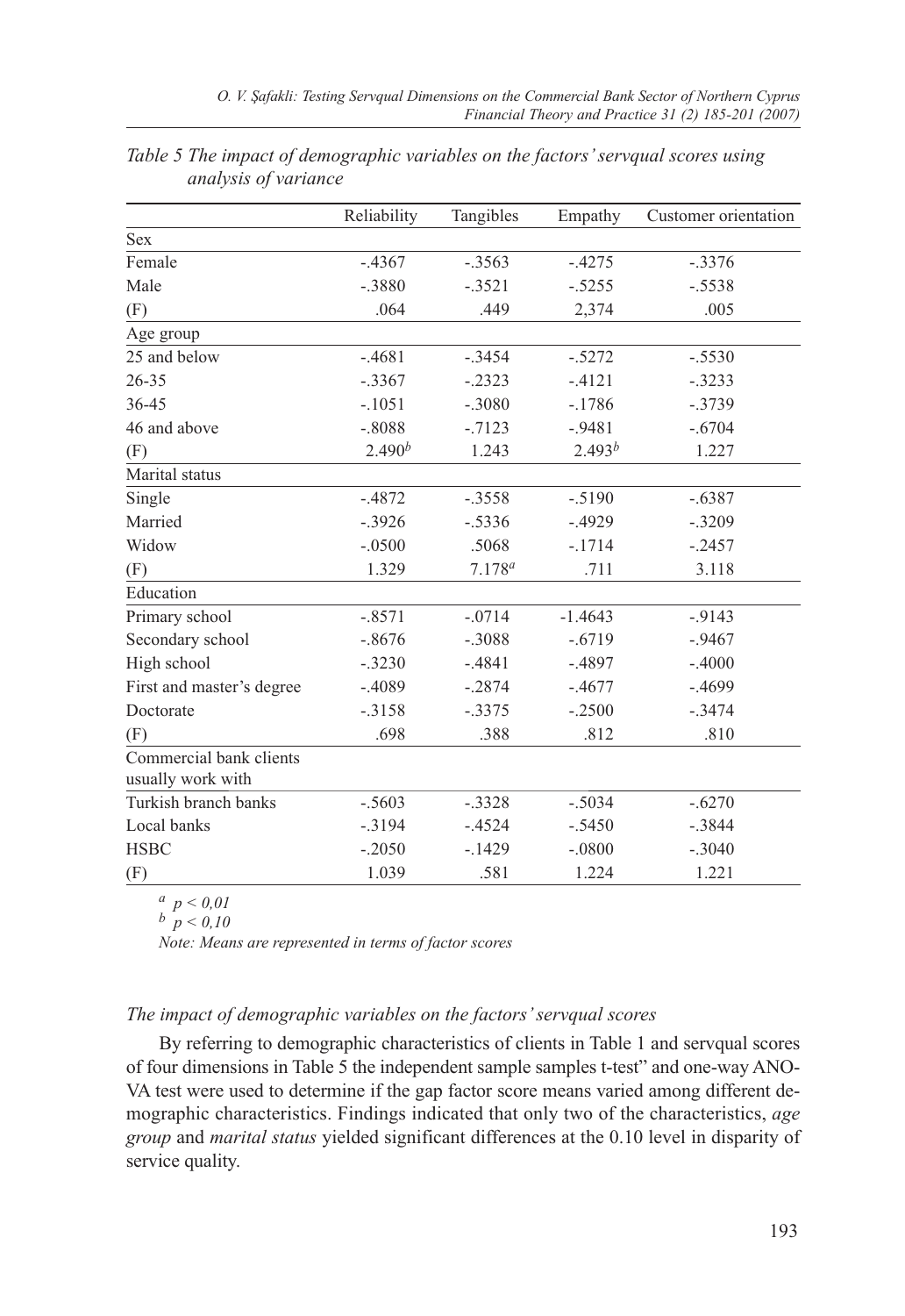|                                              | Reliability | Tangibles   | Empathy     | Customer orientation |
|----------------------------------------------|-------------|-------------|-------------|----------------------|
| <b>Sex</b>                                   |             |             |             |                      |
| Female                                       | $-.4367$    | $-.3563$    | $-.4275$    | $-.3376$             |
| Male                                         | $-.3880$    | $-.3521$    | $-.5255$    | $-.5538$             |
| (F)                                          | .064        | .449        | 2,374       | .005                 |
| Age group                                    |             |             |             |                      |
| 25 and below                                 | $-4681$     | $-.3454$    | $-.5272$    | $-.5530$             |
| $26 - 35$                                    | $-.3367$    | $-.2323$    | $-4121$     | $-.3233$             |
| 36-45                                        | $-.1051$    | $-.3080$    | $-.1786$    | $-.3739$             |
| 46 and above                                 | $-.8088$    | $-7123$     | $-0.9481$   | $-.6704$             |
| (F)                                          | $2.490^{b}$ | 1.243       | $2.493^{b}$ | 1.227                |
| Marital status                               |             |             |             |                      |
| Single                                       | $-4872$     | $-.3558$    | $-.5190$    | $-.6387$             |
| Married                                      | $-.3926$    | $-.5336$    | $-.4929$    | $-.3209$             |
| Widow                                        | $-.0500$    | .5068       | $-.1714$    | $-.2457$             |
| (F)                                          | 1.329       | $7.178^{a}$ | .711        | 3.118                |
| Education                                    |             |             |             |                      |
| Primary school                               | $-.8571$    | $-.0714$    | $-1.4643$   | $-0.9143$            |
| Secondary school                             | $-.8676$    | $-.3088$    | $-.6719$    | $-.9467$             |
| High school                                  | $-.3230$    | $-.4841$    | $-.4897$    | $-.4000$             |
| First and master's degree                    | $-.4089$    | $-.2874$    | $-.4677$    | $-0.4699$            |
| Doctorate                                    | $-.3158$    | $-.3375$    | $-.2500$    | $-.3474$             |
| (F)                                          | .698        | .388        | .812        | .810                 |
| Commercial bank clients<br>usually work with |             |             |             |                      |
| Turkish branch banks                         | $-.5603$    | $-.3328$    | $-.5034$    | $-.6270$             |
| Local banks                                  | $-0.3194$   | $-.4524$    | $-.5450$    | $-.3844$             |
| <b>HSBC</b>                                  | $-.2050$    | $-.1429$    | $-.0800$    | $-.3040$             |
| (F)                                          | 1.039       | .581        | 1.224       | 1.221                |

| Table 5 The impact of demographic variables on the factors' servqual scores using |  |  |  |
|-----------------------------------------------------------------------------------|--|--|--|
| analysis of variance                                                              |  |  |  |

*a p < 0,01*

*b p < 0,10*

*Note: Means are represented in terms of factor scores*

#### *The impact of demographic variables on the factors' servqual scores*

By referring to demographic characteristics of clients in Table 1 and servqual scores of four dimensions in Table 5 the independent sample samples t-test" and one-way ANO-VA test were used to determine if the gap factor score means varied among different demographic characteristics. Findings indicated that only two of the characteristics, *age group* and *marital status* yielded significant differences at the 0.10 level in disparity of service quality.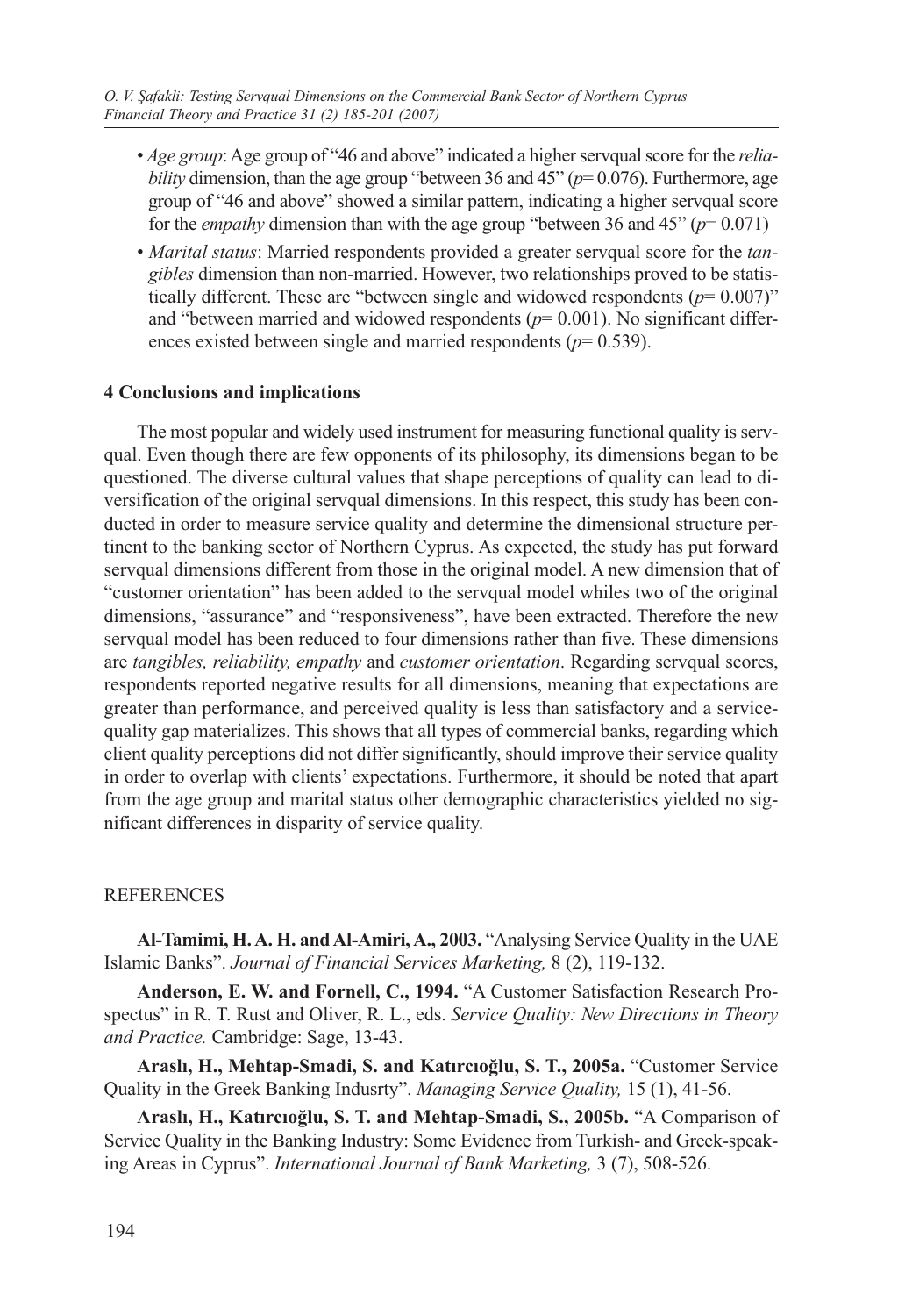- *Age group*: Age group of "46 and above" indicated a higher servqual score for the *reliability* dimension, than the age group "between 36 and 45" ( $p=0.076$ ). Furthermore, age group of "46 and above" showed a similar pattern, indicating a higher servqual score for the *empathy* dimension than with the age group "between 36 and 45" (*p*= 0.071)
- *Marital status*: Married respondents provided a greater servqual score for the *tangibles* dimension than non-married. However, two relationships proved to be statistically different. These are "between single and widowed respondents  $(p= 0.007)$ " and "between married and widowed respondents  $(p= 0.001)$ . No significant differences existed between single and married respondents (*p*= 0.539).

#### **4 Conclusions and implications**

The most popular and widely used instrument for measuring functional quality is servqual. Even though there are few opponents of its philosophy, its dimensions began to be questioned. The diverse cultural values that shape perceptions of quality can lead to diversification of the original servqual dimensions. In this respect, this study has been conducted in order to measure service quality and determine the dimensional structure pertinent to the banking sector of Northern Cyprus. As expected, the study has put forward servqual dimensions different from those in the original model. A new dimension that of "customer orientation" has been added to the servqual model whiles two of the original dimensions, "assurance" and "responsiveness", have been extracted. Therefore the new servqual model has been reduced to four dimensions rather than five. These dimensions are *tangibles, reliability, empathy* and *customer orientation*. Regarding servqual scores, respondents reported negative results for all dimensions, meaning that expectations are greater than performance, and perceived quality is less than satisfactory and a servicequality gap materializes. This shows that all types of commercial banks, regarding which client quality perceptions did not differ significantly, should improve their service quality in order to overlap with clients' expectations. Furthermore, it should be noted that apart from the age group and marital status other demographic characteristics yielded no significant differences in disparity of service quality.

#### **REFERENCES**

**Al-Tamimi, H. A. H. and Al-Amiri, A., 2003.** "Analysing Service Quality in the UAE Islamic Banks". *Journal of Financial Services Marketing,* 8 (2), 119-132.

**Anderson, E. W. and Fornell, C., 1994.** "A Customer Satisfaction Research Prospectus" in R. T. Rust and Oliver, R. L., eds. *Service Quality: New Directions in Theory and Practice.* Cambridge: Sage, 13-43.

**Araslı, H., Mehtap-Smadi, S. and Katırcıoğlu, S. T., 2005a.** "Customer Service Quality in the Greek Banking Indusrty". *Managing Service Quality,* 15 (1), 41-56.

**Araslı, H., Katırcıoğlu, S. T. and Mehtap-Smadi, S., 2005b.** "A Comparison of Service Quality in the Banking Industry: Some Evidence from Turkish- and Greek-speaking Areas in Cyprus". *International Journal of Bank Marketing,* 3 (7), 508-526.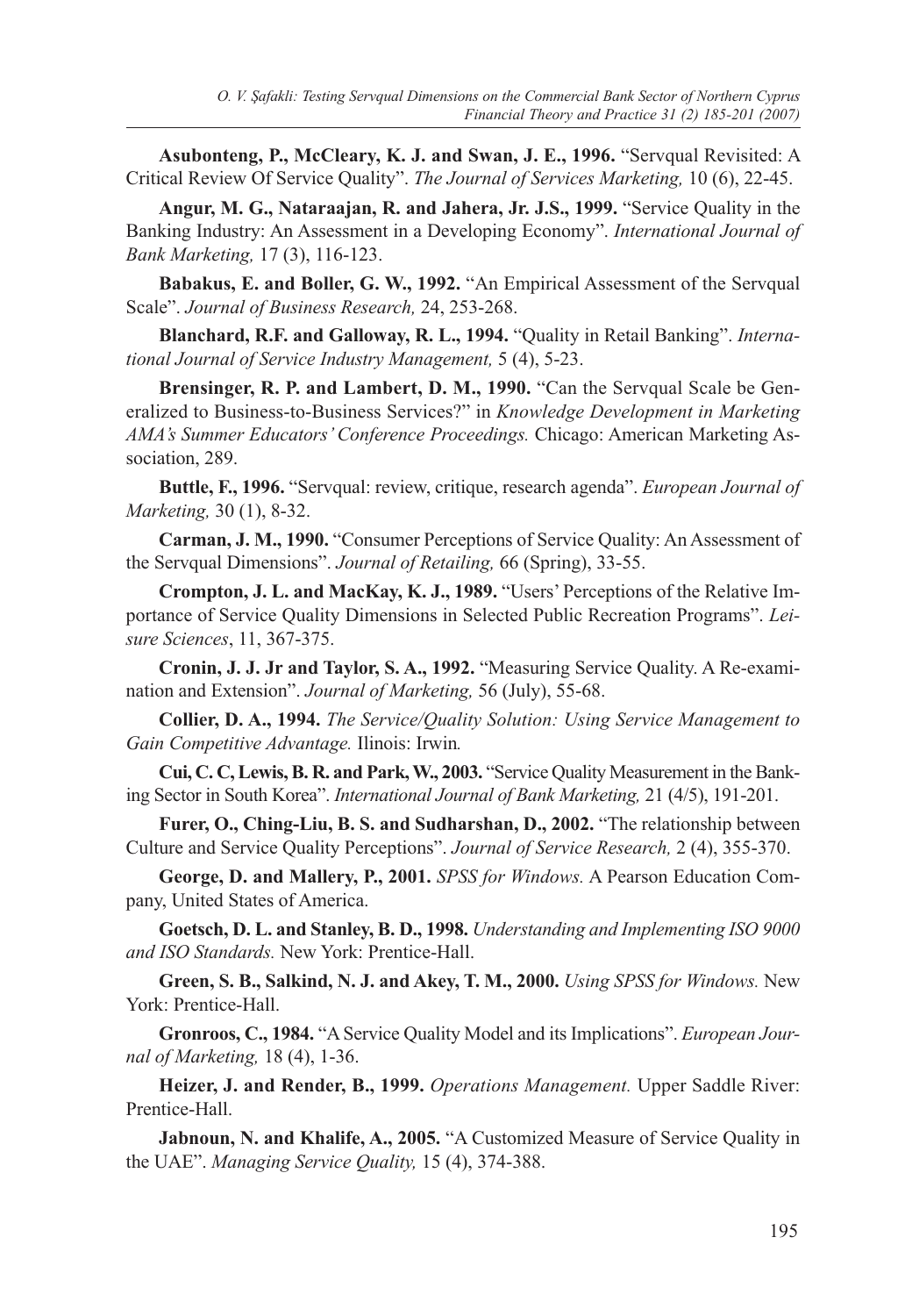**Asubonteng, P., McCleary, K. J. and Swan, J. E., 1996.** "Servqual Revisited: A Critical Review Of Service Quality". *The Journal of Services Marketing,* 10 (6), 22-45.

**Angur, M. G., Nataraajan, R. and Jahera, Jr. J.S., 1999.** "Service Quality in the Banking Industry: An Assessment in a Developing Economy". *International Journal of Bank Marketing,* 17 (3), 116-123.

**Babakus, E. and Boller, G. W., 1992.** "An Empirical Assessment of the Servqual Scale". *Journal of Business Research,* 24, 253-268.

**Blanchard, R.F. and Galloway, R. L., 1994.** "Quality in Retail Banking". *International Journal of Service Industry Management,* 5 (4), 5-23.

**Brensinger, R. P. and Lambert, D. M., 1990.** "Can the Servqual Scale be Generalized to Business-to-Business Services?" in *Knowledge Development in Marketing AMA's Summer Educators' Conference Proceedings.* Chicago: American Marketing Association, 289.

**Buttle, F., 1996.** "Servqual: review, critique, research agenda". *European Journal of Marketing,* 30 (1), 8-32.

**Carman, J. M., 1990.** "Consumer Perceptions of Service Quality: An Assessment of the Servqual Dimensions". *Journal of Retailing,* 66 (Spring), 33-55.

**Crompton, J. L. and MacKay, K. J., 1989.** "Users' Perceptions of the Relative Importance of Service Quality Dimensions in Selected Public Recreation Programs". *Leisure Sciences*, 11, 367-375.

**Cronin, J. J. Jr and Taylor, S. A., 1992.** "Measuring Service Quality. A Re-examination and Extension". *Journal of Marketing,* 56 (July), 55-68.

**Collier, D. A., 1994.** *The Service/Quality Solution: Using Service Management to Gain Competitive Advantage.* Ilinois: Irwin*.* 

**Cui, C. C, Lewis, B. R. and Park, W., 2003.** "Service Quality Measurement in the Banking Sector in South Korea". *International Journal of Bank Marketing,* 21 (4/5), 191-201.

**Furer, O., Ching-Liu, B. S. and Sudharshan, D., 2002.** "The relationship between Culture and Service Quality Perceptions". *Journal of Service Research,* 2 (4), 355-370.

**George, D. and Mallery, P., 2001.** *SPSS for Windows.* A Pearson Education Company, United States of America.

**Goetsch, D. L. and Stanley, B. D., 1998.** *Understanding and Implementing ISO 9000 and ISO Standards.* New York: Prentice-Hall.

**Green, S. B., Salkind, N. J. and Akey, T. M., 2000.** *Using SPSS for Windows.* New York: Prentice-Hall.

**Gronroos, C., 1984.** "A Service Quality Model and its Implications". *European Journal of Marketing,* 18 (4), 1-36.

**Heizer, J. and Render, B., 1999.** *Operations Management.* Upper Saddle River: Prentice-Hall.

**Jabnoun, N. and Khalife, A., 2005.** "A Customized Measure of Service Quality in the UAE". *Managing Service Quality,* 15 (4), 374-388.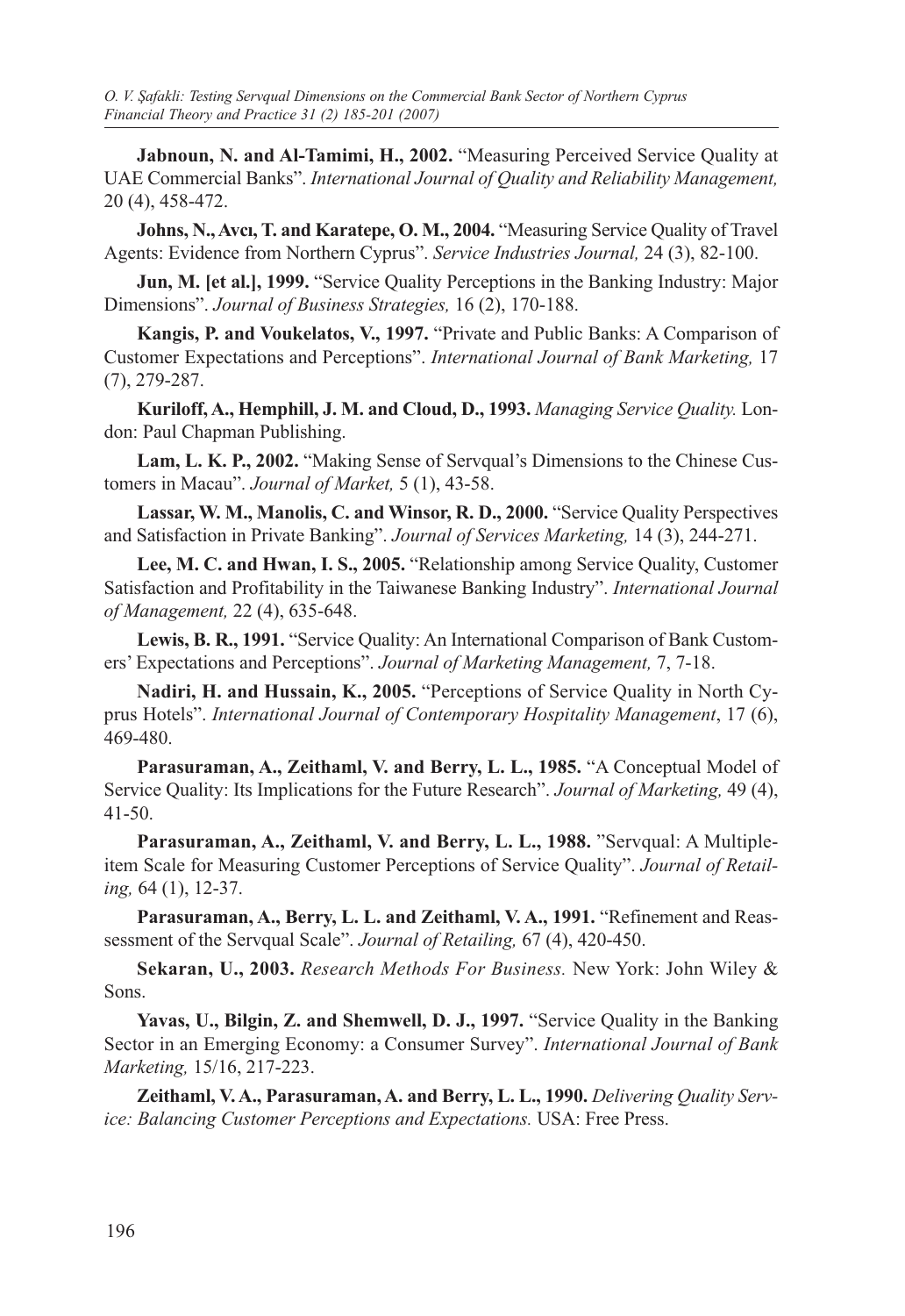**Jabnoun, N. and Al-Tamimi, H., 2002.** "Measuring Perceived Service Quality at UAE Commercial Banks". *International Journal of Quality and Reliability Management,* 20 (4), 458-472.

**Johns, N., Avcı, T. and Karatepe, O. M., 2004.** "Measuring Service Quality of Travel Agents: Evidence from Northern Cyprus". *Service Industries Journal,* 24 (3), 82-100.

**Jun, M. [et al.], 1999.** "Service Quality Perceptions in the Banking Industry: Major Dimensions". *Journal of Business Strategies,* 16 (2), 170-188.

**Kangis, P. and Voukelatos, V., 1997.** "Private and Public Banks: A Comparison of Customer Expectations and Perceptions". *International Journal of Bank Marketing,* 17 (7), 279-287.

**Kuriloff, A., Hemphill, J. M. and Cloud, D., 1993.** *Managing Service Quality.* London: Paul Chapman Publishing.

**Lam, L. K. P., 2002.** "Making Sense of Servqual's Dimensions to the Chinese Customers in Macau". *Journal of Market,* 5 (1), 43-58.

**Lassar, W. M., Manolis, C. and Winsor, R. D., 2000.** "Service Quality Perspectives and Satisfaction in Private Banking". *Journal of Services Marketing,* 14 (3), 244-271.

**Lee, M. C. and Hwan, I. S., 2005.** "Relationship among Service Quality, Customer Satisfaction and Profitability in the Taiwanese Banking Industry". *International Journal of Management,* 22 (4), 635-648.

**Lewis, B. R., 1991.** "Service Quality: An International Comparison of Bank Customers' Expectations and Perceptions". *Journal of Marketing Management,* 7, 7-18.

**Nadiri, H. and Hussain, K., 2005.** "Perceptions of Service Quality in North Cyprus Hotels". *International Journal of Contemporary Hospitality Management*, 17 (6), 469-480.

**Parasuraman, A., Zeithaml, V. and Berry, L. L., 1985.** "A Conceptual Model of Service Quality: Its Implications for the Future Research". *Journal of Marketing,* 49 (4), 41-50.

**Parasuraman, A., Zeithaml, V. and Berry, L. L., 1988.** "Servqual: A Multipleitem Scale for Measuring Customer Perceptions of Service Quality". *Journal of Retailing,* 64 (1), 12-37.

**Parasuraman, A., Berry, L. L. and Zeithaml, V. A., 1991.** "Refinement and Reassessment of the Servqual Scale". *Journal of Retailing,* 67 (4), 420-450.

**Sekaran, U., 2003.** *Research Methods For Business.* New York: John Wiley & Sons.

**Yavas, U., Bilgin, Z. and Shemwell, D. J., 1997.** "Service Quality in the Banking Sector in an Emerging Economy: a Consumer Survey". *International Journal of Bank Marketing,* 15/16, 217-223.

**Zeithaml, V. A., Parasuraman, A. and Berry, L. L., 1990.** *Delivering Quality Service: Balancing Customer Perceptions and Expectations.* USA: Free Press.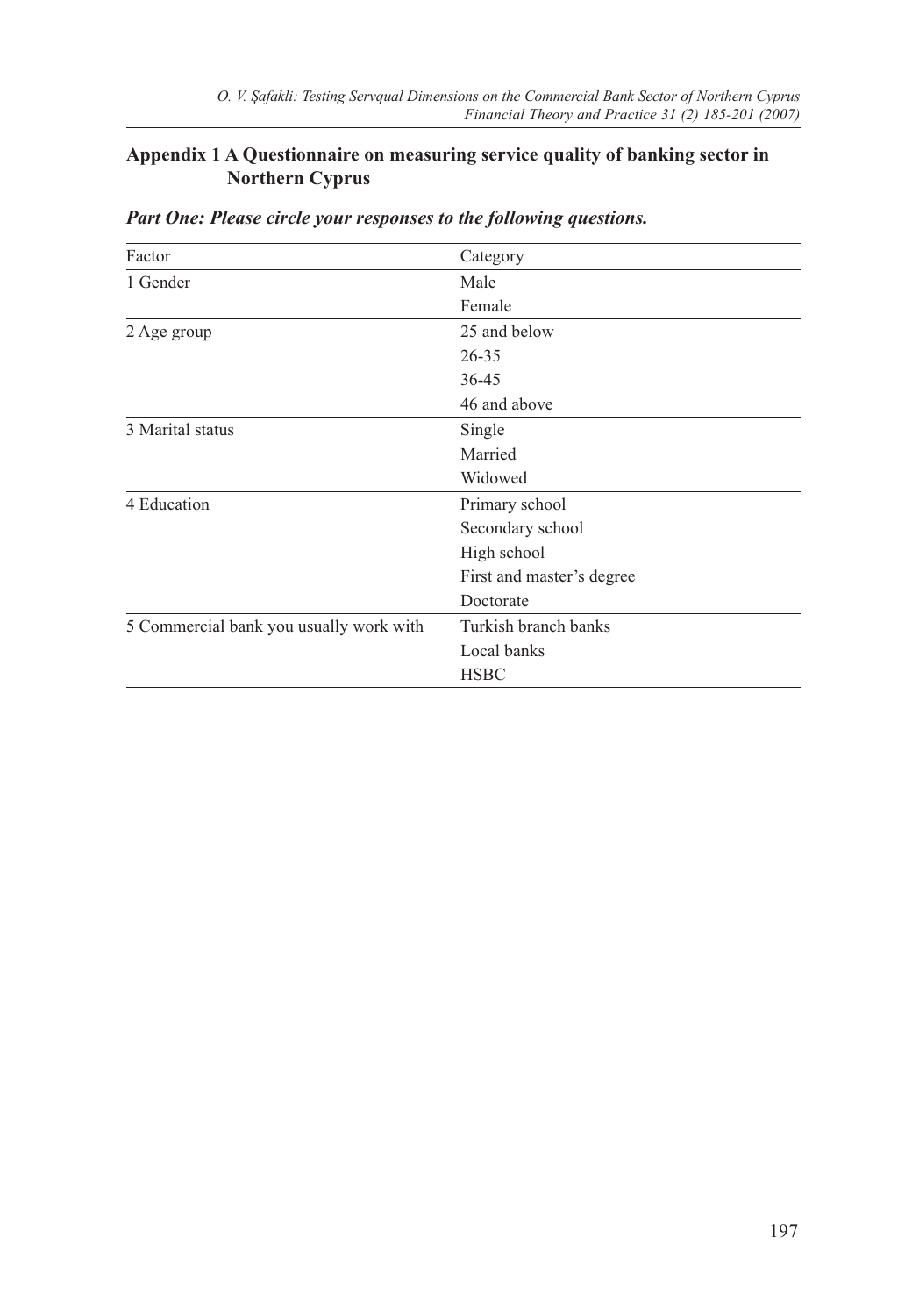# **Appendix 1 A Questionnaire on measuring service quality of banking sector in Northern Cyprus**

| Factor                                  | Category                  |  |  |  |  |
|-----------------------------------------|---------------------------|--|--|--|--|
| 1 Gender                                | Male                      |  |  |  |  |
|                                         | Female                    |  |  |  |  |
| 2 Age group                             | 25 and below              |  |  |  |  |
|                                         | $26 - 35$                 |  |  |  |  |
|                                         | 36-45                     |  |  |  |  |
|                                         | 46 and above              |  |  |  |  |
| 3 Marital status                        | Single                    |  |  |  |  |
|                                         | Married                   |  |  |  |  |
|                                         | Widowed                   |  |  |  |  |
| 4 Education                             | Primary school            |  |  |  |  |
|                                         | Secondary school          |  |  |  |  |
|                                         | High school               |  |  |  |  |
|                                         | First and master's degree |  |  |  |  |
|                                         | Doctorate                 |  |  |  |  |
| 5 Commercial bank you usually work with | Turkish branch banks      |  |  |  |  |
|                                         | Local banks               |  |  |  |  |
|                                         | <b>HSBC</b>               |  |  |  |  |

# *Part One: Please circle your responses to the following questions.*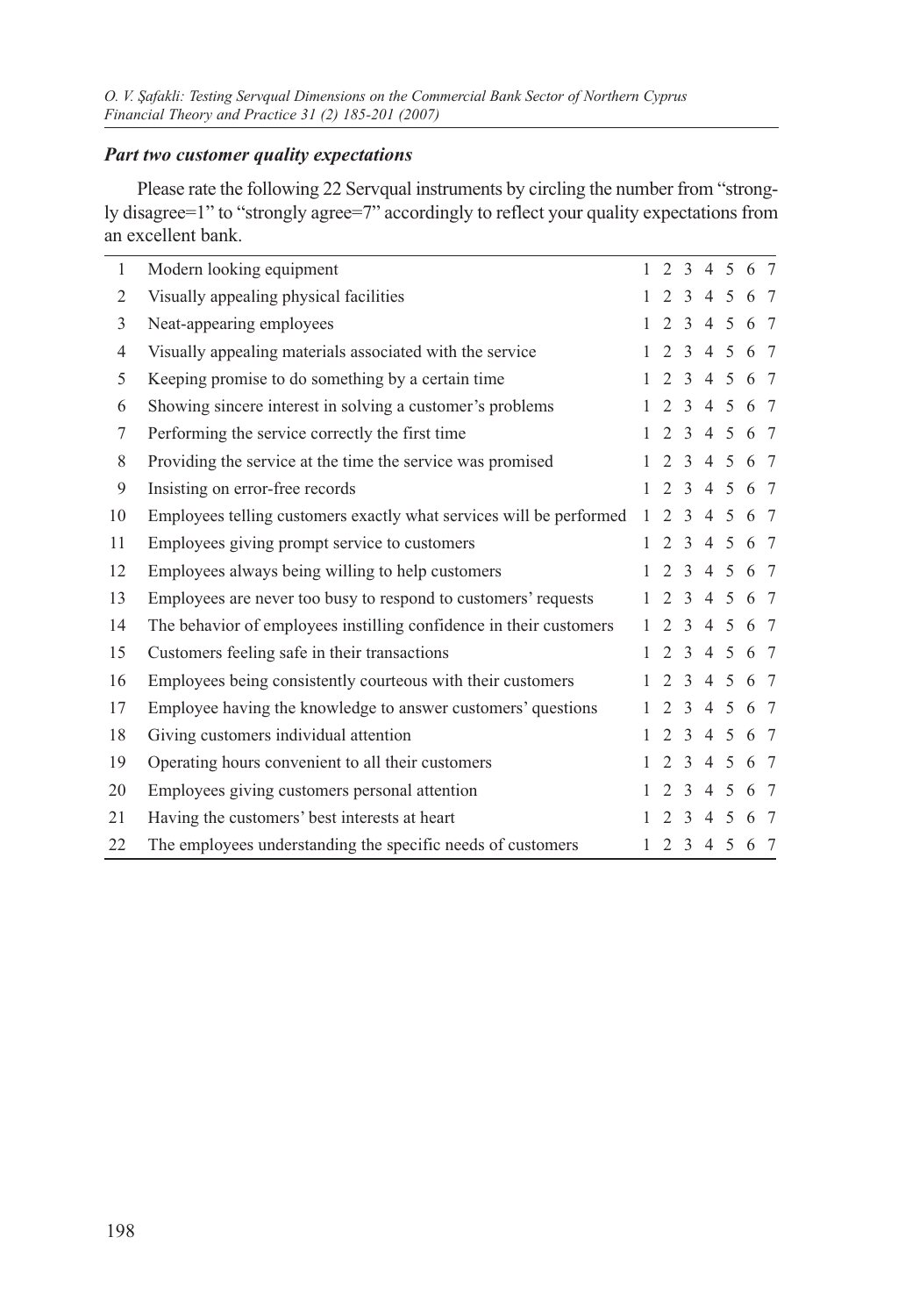# *Part two customer quality expectations*

Please rate the following 22 Servqual instruments by circling the number from "strongly disagree=1" to "strongly agree=7" accordingly to reflect your quality expectations from an excellent bank.

| $\mathbf{1}$ | Modern looking equipment                                            |              | 1 2 3 4 5 6 7       |                  |             |     |     |     |
|--------------|---------------------------------------------------------------------|--------------|---------------------|------------------|-------------|-----|-----|-----|
| 2            | Visually appealing physical facilities                              | $\mathbf{1}$ |                     |                  | 2 3 4 5 6 7 |     |     |     |
| 3            | Neat-appearing employees                                            | $\mathbf{1}$ |                     |                  | 2 3 4 5 6 7 |     |     |     |
| 4            | Visually appealing materials associated with the service            |              | $1 \t2 \t3 \t4 \t5$ |                  |             |     |     | 6 7 |
| 5            | Keeping promise to do something by a certain time                   | $\mathbf{1}$ |                     |                  | 2 3 4 5 6 7 |     |     |     |
| 6            | Showing sincere interest in solving a customer's problems           | $\mathbf{1}$ |                     |                  | 2 3 4 5 6 7 |     |     |     |
| 7            | Performing the service correctly the first time                     | $\mathbf{1}$ |                     |                  | 2 3 4 5 6 7 |     |     |     |
| 8            | Providing the service at the time the service was promised          | $\mathbf{1}$ |                     |                  | 2 3 4 5 6 7 |     |     |     |
| 9            | Insisting on error-free records                                     |              | $1 \t2 \t3 \t4 \t5$ |                  |             |     |     | 6 7 |
| 10           | Employees telling customers exactly what services will be performed | $\mathbf{1}$ |                     |                  | 2 3 4 5     |     | 6 7 |     |
| 11           | Employees giving prompt service to customers                        | $\mathbf{1}$ |                     |                  | 2 3 4 5 6 7 |     |     |     |
| 12           | Employees always being willing to help customers                    |              | $1\ 2\ 3\ 4\ 5$     |                  |             |     |     | 6 7 |
| 13           | Employees are never too busy to respond to customers' requests      | 1            |                     |                  | 2 3 4 5 6 7 |     |     |     |
| 14           | The behavior of employees instilling confidence in their customers  | $\mathbf{1}$ |                     |                  | 2 3 4 5 6 7 |     |     |     |
| 15           | Customers feeling safe in their transactions                        |              | 1 2 3 4 5 6 7       |                  |             |     |     |     |
| 16           | Employees being consistently courteous with their customers         | $\mathbf{1}$ |                     |                  | 2 3 4 5 6 7 |     |     |     |
| 17           | Employee having the knowledge to answer customers' questions        | $\mathbf{1}$ | $\mathcal{L}$       |                  | 3 4 5       |     |     | 6 7 |
| 18           | Giving customers individual attention                               | $\mathbf{1}$ |                     |                  | 2 3 4 5 6 7 |     |     |     |
| 19           | Operating hours convenient to all their customers                   | $\mathbf{1}$ |                     |                  | 2 3 4 5 6 7 |     |     |     |
| 20           | Employees giving customers personal attention                       | $\mathbf{1}$ |                     |                  | 2 3 4 5     |     |     | 6 7 |
| 21           | Having the customers' best interests at heart                       | $\mathbf{1}$ |                     | $2 \overline{3}$ |             | 4 5 | 6 7 |     |
| 22           | The employees understanding the specific needs of customers         | $\mathbf{1}$ |                     |                  | 2 3 4 5 6 7 |     |     |     |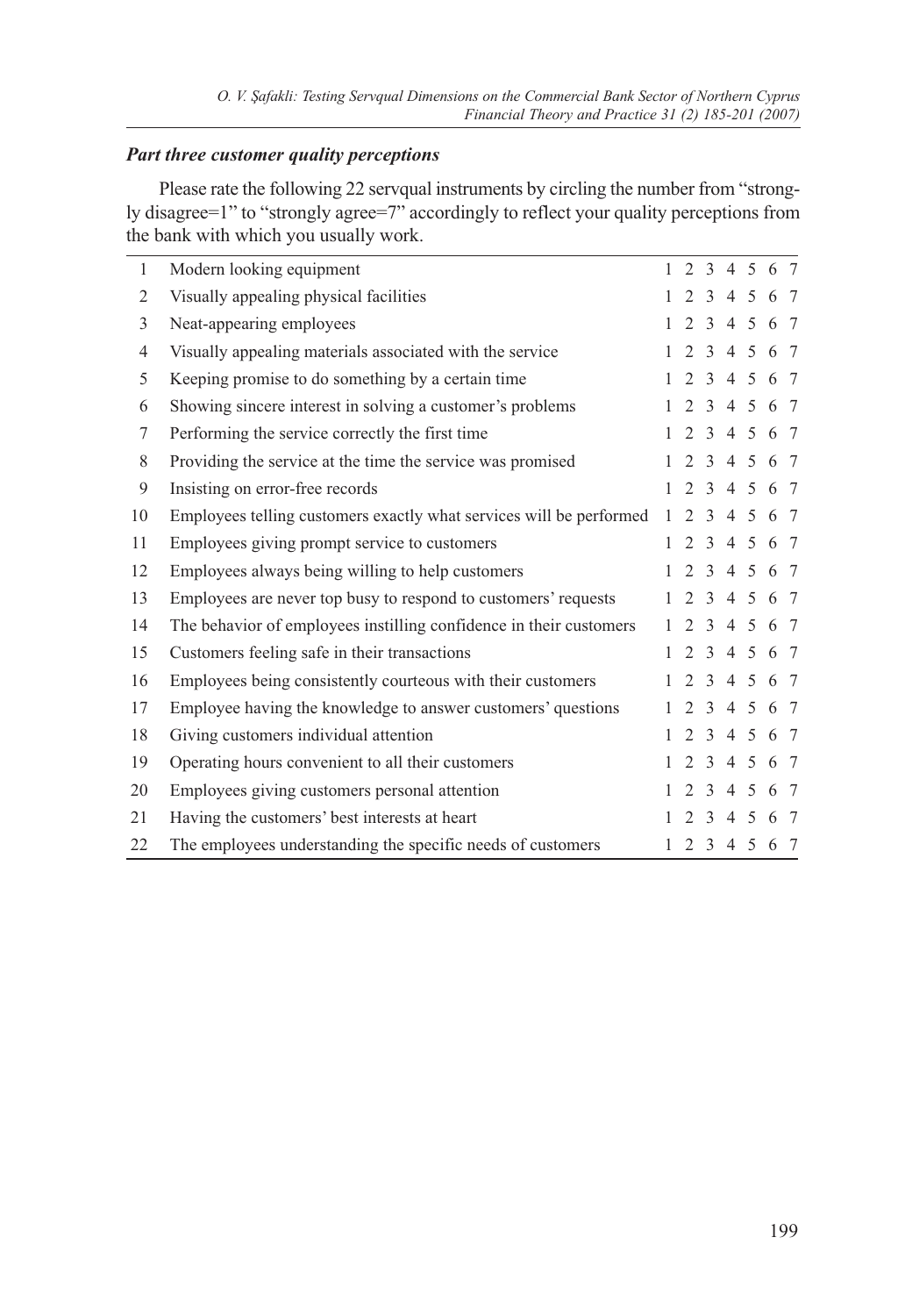### *Part three customer quality perceptions*

Please rate the following 22 servqual instruments by circling the number from "strongly disagree=1" to "strongly agree=7" accordingly to reflect your quality perceptions from the bank with which you usually work.

| 1              | Modern looking equipment                                            |              | 1 2 3 4 5 6 7 |                  |             |         |  |
|----------------|---------------------------------------------------------------------|--------------|---------------|------------------|-------------|---------|--|
| 2              | Visually appealing physical facilities                              |              | 1 2 3 4 5 6 7 |                  |             |         |  |
| 3              | Neat-appearing employees                                            |              | 1 2 3 4 5 6 7 |                  |             |         |  |
| $\overline{4}$ | Visually appealing materials associated with the service            |              | 1 2 3 4 5 6 7 |                  |             |         |  |
| 5              | Keeping promise to do something by a certain time                   |              | 1 2 3 4 5 6 7 |                  |             |         |  |
| 6              | Showing sincere interest in solving a customer's problems           | $\mathbf{1}$ |               |                  | 2 3 4 5 6 7 |         |  |
| 7              | Performing the service correctly the first time                     |              | 1 2 3 4 5 6 7 |                  |             |         |  |
| 8              | Providing the service at the time the service was promised          |              | 1 2 3 4 5 6 7 |                  |             |         |  |
| 9              | Insisting on error-free records                                     |              | 1 2 3 4 5 6 7 |                  |             |         |  |
| 10             | Employees telling customers exactly what services will be performed | $\mathbf{1}$ |               |                  | 2 3 4 5 6 7 |         |  |
| 11             | Employees giving prompt service to customers                        | $\mathbf{1}$ |               |                  | 2 3 4 5 6 7 |         |  |
| 12             | Employees always being willing to help customers                    |              | 1 2 3 4 5 6 7 |                  |             |         |  |
| 13             | Employees are never top busy to respond to customers' requests      | 1            |               |                  | 2 3 4 5 6 7 |         |  |
| 14             | The behavior of employees instilling confidence in their customers  | $\mathbf{1}$ |               |                  | 2 3 4 5 6 7 |         |  |
| 15             | Customers feeling safe in their transactions                        |              | 1 2 3 4 5 6 7 |                  |             |         |  |
| 16             | Employees being consistently courteous with their customers         | 1.           |               |                  | 2 3 4 5 6 7 |         |  |
| 17             | Employee having the knowledge to answer customers' questions        |              |               |                  | 2 3 4 5 6 7 |         |  |
| 18             | Giving customers individual attention                               | $\mathbf{1}$ |               |                  | 2 3 4 5 6 7 |         |  |
| 19             | Operating hours convenient to all their customers                   | $\mathbf{1}$ |               |                  | 2 3 4 5 6 7 |         |  |
| 20             | Employees giving customers personal attention                       | $\mathbf{1}$ |               |                  | 2 3 4 5 6 7 |         |  |
| 21             | Having the customers' best interests at heart                       | $\mathbf{1}$ |               | $2 \overline{3}$ |             | 4 5 6 7 |  |
| 22             | The employees understanding the specific needs of customers         | $\mathbf{1}$ |               |                  | 2 3 4 5 6 7 |         |  |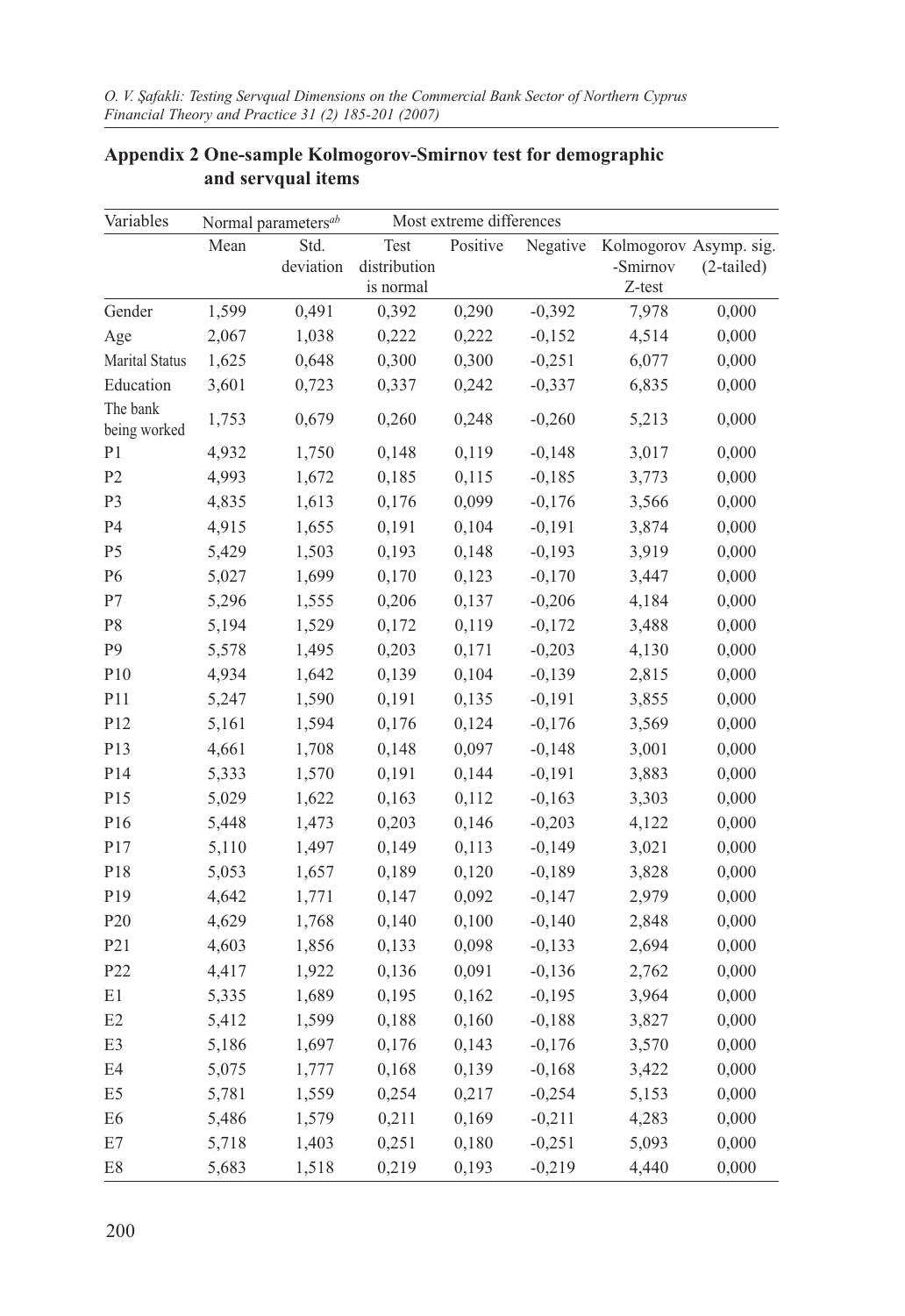| Variables<br>Most extreme differences<br>Normal parameters <sup>ab</sup> |       |           |              |          |          |          |                        |
|--------------------------------------------------------------------------|-------|-----------|--------------|----------|----------|----------|------------------------|
|                                                                          | Mean  | Std.      | Test         | Positive | Negative |          | Kolmogorov Asymp. sig. |
|                                                                          |       | deviation | distribution |          |          | -Smirnov | (2-tailed)             |
|                                                                          |       |           | is normal    |          |          | Z-test   |                        |
| Gender                                                                   | 1,599 | 0,491     | 0,392        | 0,290    | $-0,392$ | 7,978    | 0,000                  |
| Age                                                                      | 2,067 | 1,038     | 0,222        | 0,222    | $-0,152$ | 4,514    | 0,000                  |
| Marital Status                                                           | 1,625 | 0,648     | 0,300        | 0,300    | $-0,251$ | 6,077    | 0,000                  |
| Education                                                                | 3,601 | 0,723     | 0,337        | 0,242    | $-0,337$ | 6,835    | 0,000                  |
| The bank<br>being worked                                                 | 1,753 | 0,679     | 0,260        | 0,248    | $-0,260$ | 5,213    | 0,000                  |
| P1                                                                       | 4,932 | 1,750     | 0,148        | 0,119    | $-0,148$ | 3,017    | 0,000                  |
| P <sub>2</sub>                                                           | 4,993 | 1,672     | 0,185        | 0,115    | $-0,185$ | 3,773    | 0,000                  |
| P <sub>3</sub>                                                           | 4,835 | 1,613     | 0,176        | 0,099    | $-0,176$ | 3,566    | 0,000                  |
| P4                                                                       | 4,915 | 1,655     | 0,191        | 0,104    | $-0,191$ | 3,874    | 0,000                  |
| P <sub>5</sub>                                                           | 5,429 | 1,503     | 0,193        | 0,148    | $-0,193$ | 3,919    | 0,000                  |
| P <sub>6</sub>                                                           | 5,027 | 1,699     | 0,170        | 0,123    | $-0,170$ | 3,447    | 0,000                  |
| P7                                                                       | 5,296 | 1,555     | 0,206        | 0,137    | $-0,206$ | 4,184    | 0,000                  |
| P8                                                                       | 5,194 | 1,529     | 0,172        | 0,119    | $-0,172$ | 3,488    | 0,000                  |
| P <sub>9</sub>                                                           | 5,578 | 1,495     | 0,203        | 0,171    | $-0,203$ | 4,130    | 0,000                  |
| P10                                                                      | 4,934 | 1,642     | 0,139        | 0,104    | $-0,139$ | 2,815    | 0,000                  |
| P11                                                                      | 5,247 | 1,590     | 0,191        | 0,135    | $-0,191$ | 3,855    | 0,000                  |
| P12                                                                      | 5,161 | 1,594     | 0,176        | 0,124    | $-0,176$ | 3,569    | 0,000                  |
| P13                                                                      | 4,661 | 1,708     | 0,148        | 0,097    | $-0,148$ | 3,001    | 0,000                  |
| P14                                                                      | 5,333 | 1,570     | 0,191        | 0,144    | $-0,191$ | 3,883    | 0,000                  |
| P15                                                                      | 5,029 | 1,622     | 0,163        | 0,112    | $-0,163$ | 3,303    | 0,000                  |
| P16                                                                      | 5,448 | 1,473     | 0,203        | 0,146    | $-0,203$ | 4,122    | 0,000                  |
| P17                                                                      | 5,110 | 1,497     | 0,149        | 0,113    | $-0,149$ | 3,021    | 0,000                  |
| P18                                                                      | 5,053 | 1,657     | 0,189        | 0,120    | $-0,189$ | 3,828    | 0,000                  |
| P19                                                                      | 4,642 | 1,771     | 0,147        | 0,092    | $-0,147$ | 2,979    | 0,000                  |
| P <sub>20</sub>                                                          | 4,629 | 1,768     | 0,140        | 0,100    | $-0,140$ | 2,848    | 0,000                  |
| P21                                                                      | 4,603 | 1,856     | 0,133        | 0,098    | $-0,133$ | 2,694    | 0,000                  |
| P22                                                                      | 4,417 | 1,922     | 0,136        | 0,091    | $-0,136$ | 2,762    | 0,000                  |
| $\rm E1$                                                                 | 5,335 | 1,689     | 0,195        | 0,162    | $-0,195$ | 3,964    | 0,000                  |
| E2                                                                       | 5,412 | 1,599     | 0,188        | 0,160    | $-0,188$ | 3,827    | 0,000                  |
| E3                                                                       | 5,186 | 1,697     | 0,176        | 0,143    | $-0,176$ | 3,570    | 0,000                  |
| E4                                                                       | 5,075 | 1,777     | 0,168        | 0,139    | $-0,168$ | 3,422    | 0,000                  |
| E <sub>5</sub>                                                           | 5,781 | 1,559     | 0,254        | 0,217    | $-0,254$ | 5,153    | 0,000                  |
| E <sub>6</sub>                                                           | 5,486 | 1,579     | 0,211        | 0,169    | $-0,211$ | 4,283    | 0,000                  |
| $\mathrm{E}7$                                                            | 5,718 | 1,403     | 0,251        | 0,180    | $-0,251$ | 5,093    | 0,000                  |
| $\mathrm{E}8$                                                            | 5,683 | 1,518     | 0,219        | 0,193    | $-0,219$ | 4,440    | 0,000                  |

# **Appendix 2 One-sample Kolmogorov-Smirnov test for demographic and servqual items**